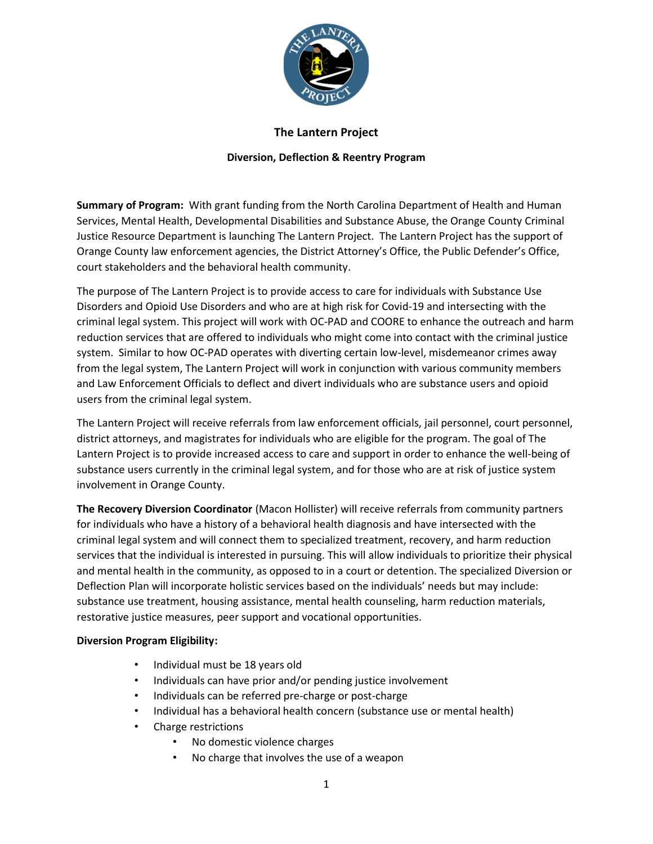

### **The Lantern Project**

### **Diversion, Deflection & Reentry Program**

**Summary of Program:** With grant funding from the North Carolina Department of Health and Human Services, Mental Health, Developmental Disabilities and Substance Abuse, the Orange County Criminal Justice Resource Department is launching The Lantern Project. The Lantern Project has the support of Orange County law enforcement agencies, the District Attorney's Office, the Public Defender's Office, court stakeholders and the behavioral health community.

The purpose of The Lantern Project is to provide access to care for individuals with Substance Use Disorders and Opioid Use Disorders and who are at high risk for Covid-19 and intersecting with the criminal legal system. This project will work with OC-PAD and COORE to enhance the outreach and harm reduction services that are offered to individuals who might come into contact with the criminal justice system. Similar to how OC-PAD operates with diverting certain low-level, misdemeanor crimes away from the legal system, The Lantern Project will work in conjunction with various community members and Law Enforcement Officials to deflect and divert individuals who are substance users and opioid users from the criminal legal system.

The Lantern Project will receive referrals from law enforcement officials, jail personnel, court personnel, district attorneys, and magistrates for individuals who are eligible for the program. The goal of The Lantern Project is to provide increased access to care and support in order to enhance the well-being of substance users currently in the criminal legal system, and for those who are at risk of justice system involvement in Orange County.

**The Recovery Diversion Coordinator** (Macon Hollister) will receive referrals from community partners for individuals who have a history of a behavioral health diagnosis and have intersected with the criminal legal system and will connect them to specialized treatment, recovery, and harm reduction services that the individual is interested in pursuing. This will allow individuals to prioritize their physical and mental health in the community, as opposed to in a court or detention. The specialized Diversion or Deflection Plan will incorporate holistic services based on the individuals' needs but may include: substance use treatment, housing assistance, mental health counseling, harm reduction materials, restorative justice measures, peer support and vocational opportunities.

### **Diversion Program Eligibility:**

- Individual must be 18 years old
- Individuals can have prior and/or pending justice involvement
- Individuals can be referred pre-charge or post-charge
- Individual has a behavioral health concern (substance use or mental health)
- Charge restrictions
	- No domestic violence charges
	- No charge that involves the use of a weapon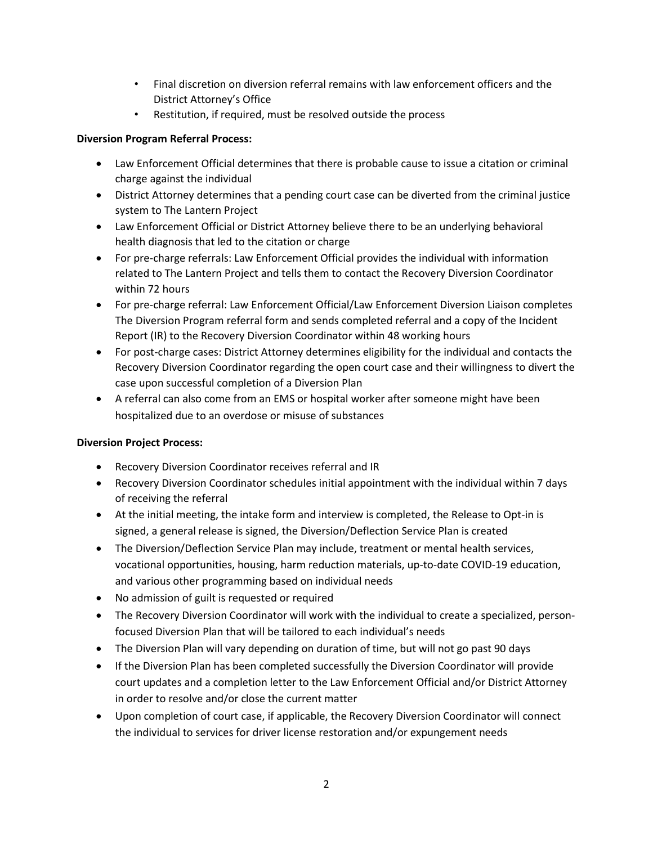- Final discretion on diversion referral remains with law enforcement officers and the District Attorney's Office
- Restitution, if required, must be resolved outside the process

# **Diversion Program Referral Process:**

- Law Enforcement Official determines that there is probable cause to issue a citation or criminal charge against the individual
- District Attorney determines that a pending court case can be diverted from the criminal justice system to The Lantern Project
- Law Enforcement Official or District Attorney believe there to be an underlying behavioral health diagnosis that led to the citation or charge
- For pre-charge referrals: Law Enforcement Official provides the individual with information related to The Lantern Project and tells them to contact the Recovery Diversion Coordinator within 72 hours
- For pre-charge referral: Law Enforcement Official/Law Enforcement Diversion Liaison completes The Diversion Program referral form and sends completed referral and a copy of the Incident Report (IR) to the Recovery Diversion Coordinator within 48 working hours
- For post-charge cases: District Attorney determines eligibility for the individual and contacts the Recovery Diversion Coordinator regarding the open court case and their willingness to divert the case upon successful completion of a Diversion Plan
- A referral can also come from an EMS or hospital worker after someone might have been hospitalized due to an overdose or misuse of substances

# **Diversion Project Process:**

- Recovery Diversion Coordinator receives referral and IR
- Recovery Diversion Coordinator schedules initial appointment with the individual within 7 days of receiving the referral
- At the initial meeting, the intake form and interview is completed, the Release to Opt-in is signed, a general release is signed, the Diversion/Deflection Service Plan is created
- The Diversion/Deflection Service Plan may include, treatment or mental health services, vocational opportunities, housing, harm reduction materials, up-to-date COVID-19 education, and various other programming based on individual needs
- No admission of guilt is requested or required
- The Recovery Diversion Coordinator will work with the individual to create a specialized, personfocused Diversion Plan that will be tailored to each individual's needs
- The Diversion Plan will vary depending on duration of time, but will not go past 90 days
- If the Diversion Plan has been completed successfully the Diversion Coordinator will provide court updates and a completion letter to the Law Enforcement Official and/or District Attorney in order to resolve and/or close the current matter
- Upon completion of court case, if applicable, the Recovery Diversion Coordinator will connect the individual to services for driver license restoration and/or expungement needs